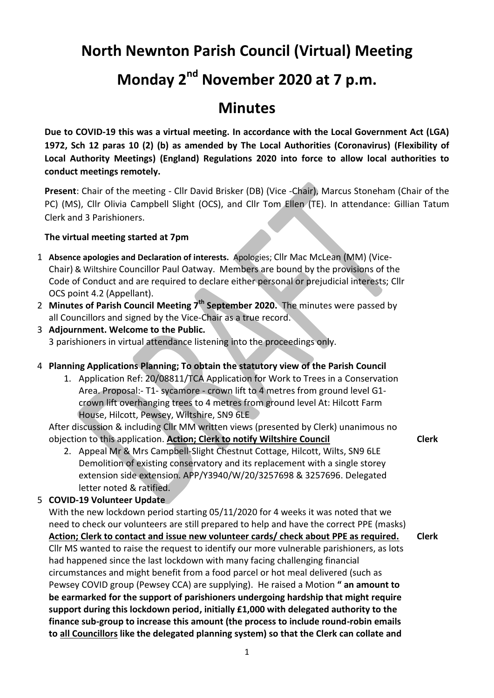# **North Newnton Parish Council (Virtual) Meeting**

# **Monday 2nd November 2020 at 7 p.m.**

## **Minutes**

**Due to COVID-19 this was a virtual meeting. In accordance with the Local Government Act (LGA) 1972, Sch 12 paras 10 (2) (b) as amended by The Local Authorities (Coronavirus) (Flexibility of Local Authority Meetings) (England) Regulations 2020 into force to allow local authorities to conduct meetings remotely.** 

**Present**: Chair of the meeting - Cllr David Brisker (DB) (Vice -Chair), Marcus Stoneham (Chair of the PC) (MS), Cllr Olivia Campbell Slight (OCS), and Cllr Tom Ellen (TE). In attendance: Gillian Tatum Clerk and 3 Parishioners.

#### **The virtual meeting started at 7pm**

- 1 **Absence apologies and Declaration of interests.** Apologies; Cllr Mac McLean (MM) (Vice-Chair) & Wiltshire Councillor Paul Oatway. Members are bound by the provisions of the Code of Conduct and are required to declare either personal or prejudicial interests; Cllr OCS point 4.2 (Appellant).
- 2 Minutes of Parish Council Meeting 7<sup>th</sup> September 2020. The minutes were passed by all Councillors and signed by the Vice-Chair as a true record.
- 3 **Adjournment. Welcome to the Public.** 3 parishioners in virtual attendance listening into the proceedings only.

### 4 **Planning Applications Planning; To obtain the statutory view of the Parish Council**

1. Application Ref: 20/08811/TCA Application for Work to Trees in a Conservation Area. Proposal:- T1- sycamore - crown lift to 4 metres from ground level G1 crown lift overhanging trees to 4 metres from ground level At: Hilcott Farm House, Hilcott, Pewsey, Wiltshire, SN9 6LE

**Clerk**

After discussion & including Cllr MM written views (presented by Clerk) unanimous no objection to this application. **Action; Clerk to notify Wiltshire Council**

2. Appeal Mr & Mrs Campbell-Slight Chestnut Cottage, Hilcott, Wilts, SN9 6LE Demolition of existing conservatory and its replacement with a single storey extension side extension. APP/Y3940/W/20/3257698 & 3257696. Delegated letter noted & ratified.

#### 5 **COVID-19 Volunteer Update**

With the new lockdown period starting 05/11/2020 for 4 weeks it was noted that we need to check our volunteers are still prepared to help and have the correct PPE (masks) **Action; Clerk to contact and issue new volunteer cards/ check about PPE as required.** Cllr MS wanted to raise the request to identify our more vulnerable parishioners, as lots had happened since the last lockdown with many facing challenging financial circumstances and might benefit from a food parcel or hot meal delivered (such as Pewsey COVID group (Pewsey CCA) are supplying). He raised a Motion **" an amount to be earmarked for the support of parishioners undergoing hardship that might require support during this lockdown period, initially £1,000 with delegated authority to the finance sub-group to increase this amount (the process to include round-robin emails to all Councillors like the delegated planning system) so that the Clerk can collate and Clerk**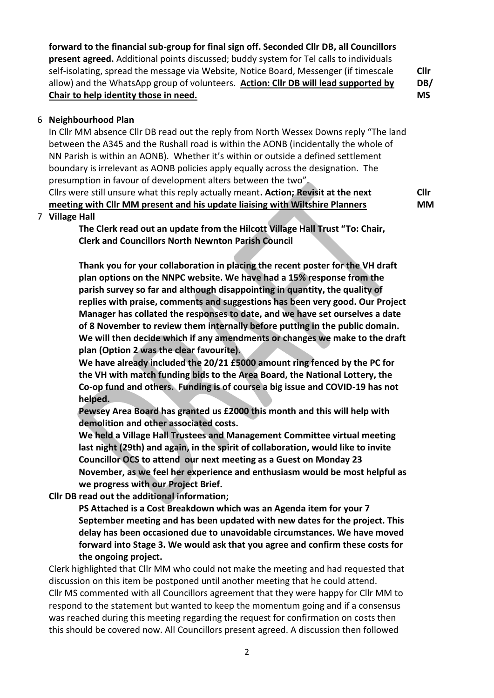**forward to the financial sub-group for final sign off. Seconded Cllr DB, all Councillors present agreed.** Additional points discussed; buddy system for Tel calls to individuals self-isolating, spread the message via Website, Notice Board, Messenger (if timescale allow) and the WhatsApp group of volunteers. **Action: Cllr DB will lead supported by Chair to help identity those in need. Cllr MS**

**DB/**

#### 6 **Neighbourhood Plan**

In Cllr MM absence Cllr DB read out the reply from North Wessex Downs reply "The land between the A345 and the Rushall road is within the AONB (incidentally the whole of NN Parish is within an AONB). Whether it's within or outside a defined settlement boundary is irrelevant as AONB policies apply equally across the designation. The presumption in favour of development alters between the two".

Cllrs were still unsure what this reply actually meant**. Action; Revisit at the next meeting with Cllr MM present and his update liaising with Wiltshire Planners Cllr MM**

#### 7 **Village Hall**

**The Clerk read out an update from the Hilcott Village Hall Trust "To: Chair, Clerk and Councillors North Newnton Parish Council**

**Thank you for your collaboration in placing the recent poster for the VH draft plan options on the NNPC website. We have had a 15% response from the parish survey so far and although disappointing in quantity, the quality of replies with praise, comments and suggestions has been very good. Our Project Manager has collated the responses to date, and we have set ourselves a date of 8 November to review them internally before putting in the public domain. We will then decide which if any amendments or changes we make to the draft plan (Option 2 was the clear favourite).**

**We have already included the 20/21 £5000 amount ring fenced by the PC for the VH with match funding bids to the Area Board, the National Lottery, the Co-op fund and others. Funding is of course a big issue and COVID-19 has not helped.**

**Pewsey Area Board has granted us £2000 this month and this will help with demolition and other associated costs.**

**We held a Village Hall Trustees and Management Committee virtual meeting last night (29th) and again, in the spirit of collaboration, would like to invite Councillor OCS to attend our next meeting as a Guest on Monday 23 November, as we feel her experience and enthusiasm would be most helpful as we progress with our Project Brief.** 

**Cllr DB read out the additional information;**

**PS Attached is a Cost Breakdown which was an Agenda item for your 7 September meeting and has been updated with new dates for the project. This delay has been occasioned due to unavoidable circumstances. We have moved forward into Stage 3. We would ask that you agree and confirm these costs for the ongoing project.**

Clerk highlighted that Cllr MM who could not make the meeting and had requested that discussion on this item be postponed until another meeting that he could attend. Cllr MS commented with all Councillors agreement that they were happy for Cllr MM to respond to the statement but wanted to keep the momentum going and if a consensus was reached during this meeting regarding the request for confirmation on costs then this should be covered now. All Councillors present agreed. A discussion then followed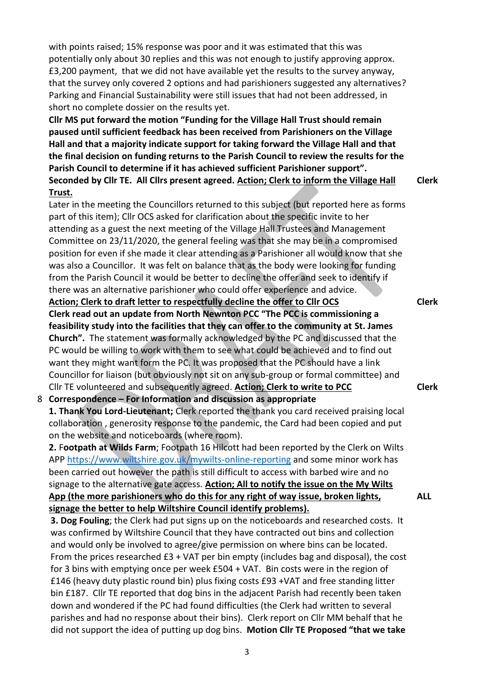with points raised; 15% response was poor and it was estimated that this was potentially only about 30 replies and this was not enough to justify approving approx. £3,200 payment, that we did not have available yet the results to the survey anyway, that the survey only covered 2 options and had parishioners suggested any alternatives? Parking and Financial Sustainability were still issues that had not been addressed, in short no complete dossier on the results yet.

**Cllr MS put forward the motion "Funding for the Village Hall Trust should remain paused until sufficient feedback has been received from Parishioners on the Village Hall and that a majority indicate support for taking forward the Village Hall and that the final decision on funding returns to the Parish Council to review the results for the Parish Council to determine if it has achieved sufficient Parishioner support". Seconded by Cllr TE. All Cllrs present agreed. Action; Clerk to inform the Village Hall Trust. Clerk**

Later in the meeting the Councillors returned to this subject (but reported here as forms part of this item); Cllr OCS asked for clarification about the specific invite to her attending as a guest the next meeting of the Village Hall Trustees and Management Committee on 23/11/2020, the general feeling was that she may be in a compromised position for even if she made it clear attending as a Parishioner all would know that she was also a Councillor. It was felt on balance that as the body were looking for funding from the Parish Council it would be better to decline the offer and seek to identify if there was an alternative parishioner who could offer experience and advice. **Action; Clerk to draft letter to respectfully decline the offer to Cllr OCS**

**Clerk**

**Clerk**

**ALL**

**Clerk read out an update from North Newnton PCC "The PCC is commissioning a feasibility study into the facilities that they can offer to the community at St. James Church".** The statement was formally acknowledged by the PC and discussed that the PC would be willing to work with them to see what could be achieved and to find out want they might want form the PC. It was proposed that the PC should have a link Councillor for liaison (but obviously not sit on any sub-group or formal committee) and Cllr TE volunteered and subsequently agreed. **Action; Clerk to write to PCC**

#### 8 **Correspondence – For Information and discussion as appropriate**

**1. Thank You Lord-Lieutenant;** Clerk reported the thank you card received praising local collaboration , generosity response to the pandemic, the Card had been copied and put on the website and noticeboards (where room).

**2.** F**ootpath at Wilds Farm**; Footpath 16 Hilcott had been reported by the Clerk on Wilts APP<https://www.wiltshire.gov.uk/mywilts-online-reporting> and some minor work has been carried out however the path is still difficult to access with barbed wire and no signage to the alternative gate access. **Action; All to notify the issue on the My Wilts App (the more parishioners who do this for any right of way issue, broken lights, signage the better to help Wiltshire Council identify problems).**

**3. Dog Fouling**; the Clerk had put signs up on the noticeboards and researched costs. It was confirmed by Wiltshire Council that they have contracted out bins and collection and would only be involved to agree/give permission on where bins can be located. From the prices researched £3 + VAT per bin empty (includes bag and disposal), the cost for 3 bins with emptying once per week £504 + VAT. Bin costs were in the region of £146 (heavy duty plastic round bin) plus fixing costs £93 +VAT and free standing litter bin £187. Cllr TE reported that dog bins in the adjacent Parish had recently been taken down and wondered if the PC had found difficulties (the Clerk had written to several parishes and had no response about their bins). Clerk report on Cllr MM behalf that he did not support the idea of putting up dog bins. **Motion Cllr TE Proposed "that we take**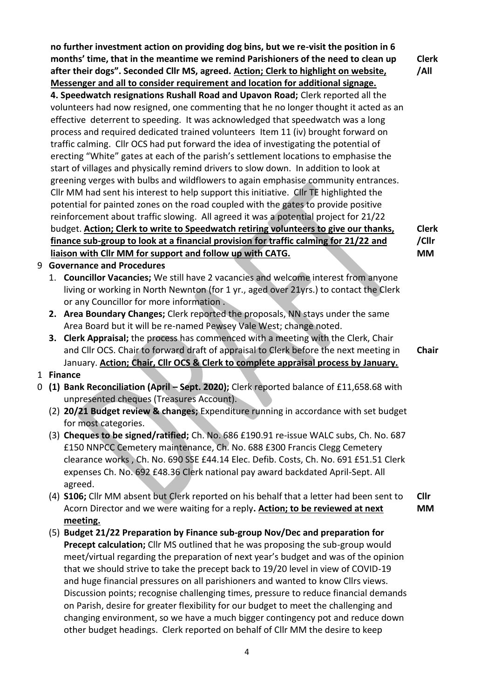**no further investment action on providing dog bins, but we re-visit the position in 6 months' time, that in the meantime we remind Parishioners of the need to clean up after their dogs". Seconded Cllr MS, agreed. Action; Clerk to highlight on website, Messenger and all to consider requirement and location for additional signage. 4. Speedwatch resignations Rushall Road and Upavon Road;** Clerk reported all the volunteers had now resigned, one commenting that he no longer thought it acted as an effective deterrent to speeding. It was acknowledged that speedwatch was a long process and required dedicated trained volunteers Item 11 (iv) brought forward on traffic calming. Cllr OCS had put forward the idea of investigating the potential of erecting "White" gates at each of the parish's settlement locations to emphasise the start of villages and physically remind drivers to slow down. In addition to look at greening verges with bulbs and wildflowers to again emphasise community entrances. Cllr MM had sent his interest to help support this initiative. Cllr TE highlighted the potential for painted zones on the road coupled with the gates to provide positive reinforcement about traffic slowing. All agreed it was a potential project for 21/22 budget. **Action; Clerk to write to Speedwatch retiring volunteers to give our thanks, finance sub-group to look at a financial provision for traffic calming for 21/22 and liaison with Cllr MM for support and follow up with CATG. Clerk /All Clerk /Cllr MM**

- 9 **Governance and Procedures**
	- 1. **Councillor Vacancies;** We still have 2 vacancies and welcome interest from anyone living or working in North Newnton (for 1 yr., aged over 21yrs.) to contact the Clerk or any Councillor for more information .
	- **2. Area Boundary Changes;** Clerk reported the proposals, NN stays under the same Area Board but it will be re-named Pewsey Vale West; change noted.
	- **3. Clerk Appraisal;** the process has commenced with a meeting with the Clerk, Chair and Cllr OCS. Chair to forward draft of appraisal to Clerk before the next meeting in January. **Action; Chair, Cllr OCS & Clerk to complete appraisal process by January. Chair**
- 1 **Finance**
- 0 **(1) Bank Reconciliation (April – Sept. 2020);** Clerk reported balance of £11,658.68 with unpresented cheques (Treasures Account).
	- (2) **20/21 Budget review & changes;** Expenditure running in accordance with set budget for most categories.
	- (3) **Cheques to be signed/ratified;** Ch. No. 686 £190.91 re-issue WALC subs, Ch. No. 687 £150 NNPCC Cemetery maintenance, Ch. No. 688 £300 Francis Clegg Cemetery clearance works , Ch. No. 690 SSE £44.14 Elec. Defib. Costs, Ch. No. 691 £51.51 Clerk expenses Ch. No. 692 £48.36 Clerk national pay award backdated April-Sept. All agreed.
	- (4) **S106;** Cllr MM absent but Clerk reported on his behalf that a letter had been sent to Acorn Director and we were waiting for a reply**. Action; to be reviewed at next meeting. Cllr MM**
	- (5) **Budget 21/22 Preparation by Finance sub-group Nov/Dec and preparation for Precept calculation;** Cllr MS outlined that he was proposing the sub-group would meet/virtual regarding the preparation of next year's budget and was of the opinion that we should strive to take the precept back to 19/20 level in view of COVID-19 and huge financial pressures on all parishioners and wanted to know Cllrs views. Discussion points; recognise challenging times, pressure to reduce financial demands on Parish, desire for greater flexibility for our budget to meet the challenging and changing environment, so we have a much bigger contingency pot and reduce down other budget headings. Clerk reported on behalf of Cllr MM the desire to keep